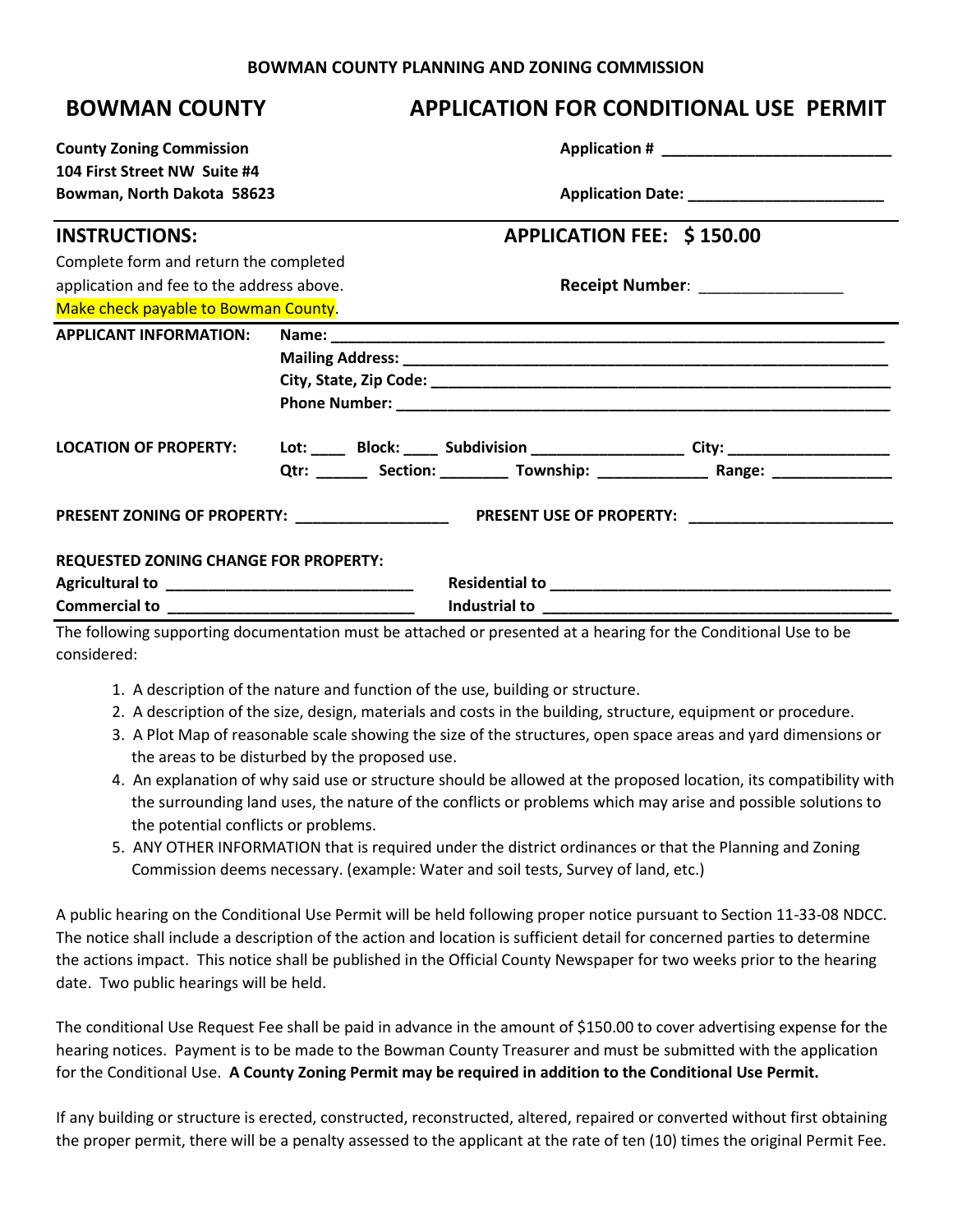## **BOWMAN COUNTY PLANNING AND ZONING COMMISSION**

## **BOWMAN COUNTY APPLICATION FOR CONDITIONAL USE PERMIT**

| <b>County Zoning Commission</b>              |  |                                   |                                                                                         |  |
|----------------------------------------------|--|-----------------------------------|-----------------------------------------------------------------------------------------|--|
| 104 First Street NW Suite #4                 |  |                                   |                                                                                         |  |
| Bowman, North Dakota 58623                   |  |                                   |                                                                                         |  |
| <b>INSTRUCTIONS:</b>                         |  | APPLICATION FEE: \$150.00         |                                                                                         |  |
| Complete form and return the completed       |  |                                   |                                                                                         |  |
| application and fee to the address above.    |  | Receipt Number: _________________ |                                                                                         |  |
| Make check payable to Bowman County.         |  |                                   |                                                                                         |  |
| <b>APPLICANT INFORMATION:</b>                |  |                                   |                                                                                         |  |
|                                              |  |                                   |                                                                                         |  |
|                                              |  |                                   |                                                                                         |  |
|                                              |  |                                   |                                                                                         |  |
| <b>LOCATION OF PROPERTY:</b>                 |  |                                   | Lot: _____ Block: _____ Subdivision ___________________ City: __________________        |  |
|                                              |  |                                   | Qtr: ________ Section: __________ Township: ___________________ Range: ________________ |  |
|                                              |  |                                   |                                                                                         |  |
| <b>REQUESTED ZONING CHANGE FOR PROPERTY:</b> |  |                                   |                                                                                         |  |
|                                              |  |                                   |                                                                                         |  |
|                                              |  |                                   |                                                                                         |  |

The following supporting documentation must be attached or presented at a hearing for the Conditional Use to be considered:

- 1. A description of the nature and function of the use, building or structure.
- 2. A description of the size, design, materials and costs in the building, structure, equipment or procedure.
- 3. A Plot Map of reasonable scale showing the size of the structures, open space areas and yard dimensions or the areas to be disturbed by the proposed use.
- 4. An explanation of why said use or structure should be allowed at the proposed location, its compatibility with the surrounding land uses, the nature of the conflicts or problems which may arise and possible solutions to the potential conflicts or problems.
- 5. ANY OTHER INFORMATION that is required under the district ordinances or that the Planning and Zoning Commission deems necessary. (example: Water and soil tests, Survey of land, etc.)

A public hearing on the Conditional Use Permit will be held following proper notice pursuant to Section 11-33-08 NDCC. The notice shall include a description of the action and location is sufficient detail for concerned parties to determine the actions impact. This notice shall be published in the Official County Newspaper for two weeks prior to the hearing date. Two public hearings will be held.

The conditional Use Request Fee shall be paid in advance in the amount of \$150.00 to cover advertising expense for the hearing notices. Payment is to be made to the Bowman County Treasurer and must be submitted with the application for the Conditional Use. **A County Zoning Permit may be required in addition to the Conditional Use Permit.**

If any building or structure is erected, constructed, reconstructed, altered, repaired or converted without first obtaining the proper permit, there will be a penalty assessed to the applicant at the rate of ten (10) times the original Permit Fee.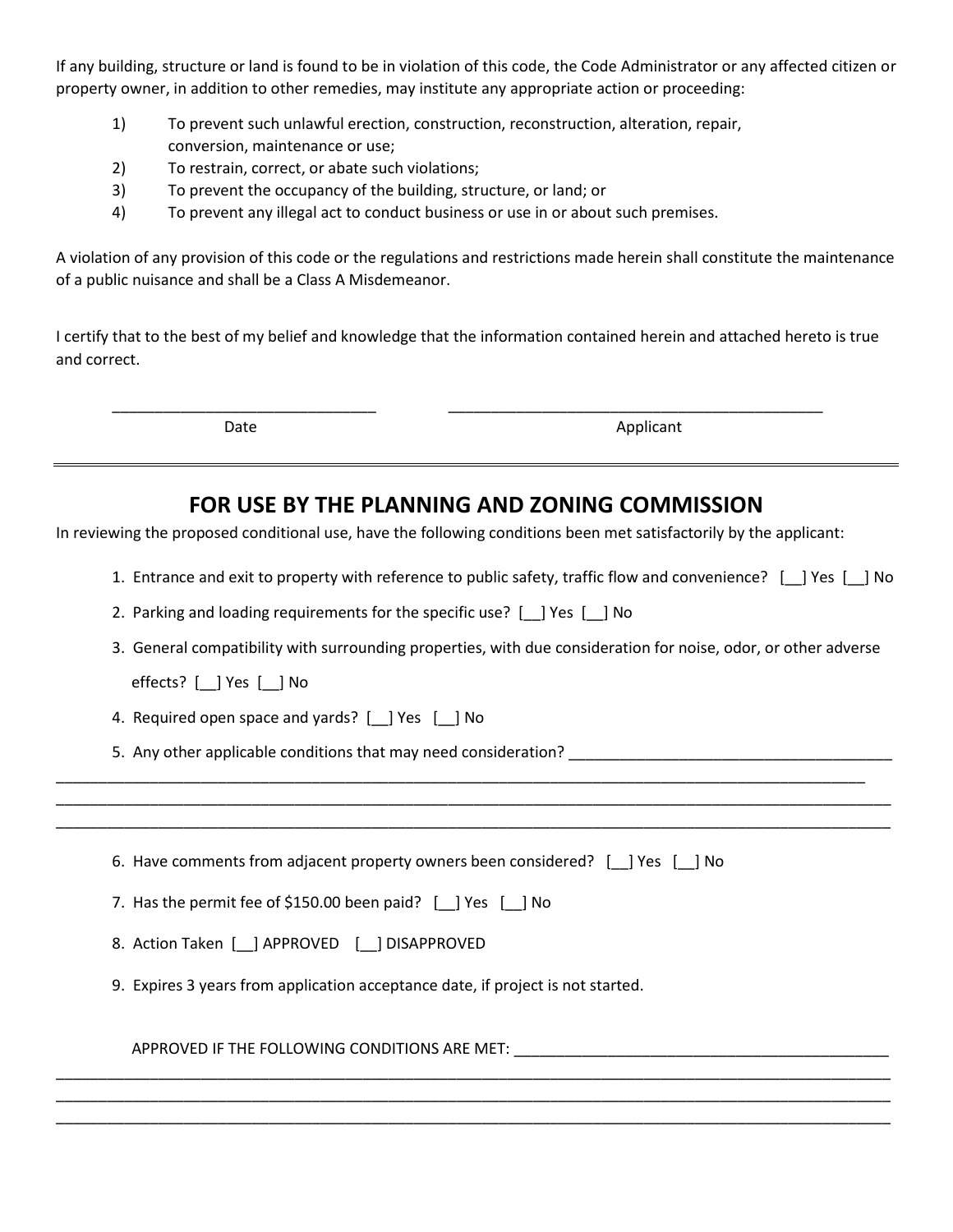If any building, structure or land is found to be in violation of this code, the Code Administrator or any affected citizen or property owner, in addition to other remedies, may institute any appropriate action or proceeding:

- 1) To prevent such unlawful erection, construction, reconstruction, alteration, repair, conversion, maintenance or use;
- 2) To restrain, correct, or abate such violations;
- 3) To prevent the occupancy of the building, structure, or land; or
- 4) To prevent any illegal act to conduct business or use in or about such premises.

A violation of any provision of this code or the regulations and restrictions made herein shall constitute the maintenance of a public nuisance and shall be a Class A Misdemeanor.

I certify that to the best of my belief and knowledge that the information contained herein and attached hereto is true and correct.

\_\_\_\_\_\_\_\_\_\_\_\_\_\_\_\_\_\_\_\_\_\_\_\_\_\_\_\_\_\_\_ \_\_\_\_\_\_\_\_\_\_\_\_\_\_\_\_\_\_\_\_\_\_\_\_\_\_\_\_\_\_\_\_\_\_\_\_\_\_\_\_\_\_\_\_

Date Applicant

## **FOR USE BY THE PLANNING AND ZONING COMMISSION**

In reviewing the proposed conditional use, have the following conditions been met satisfactorily by the applicant:

\_\_\_\_\_\_\_\_\_\_\_\_\_\_\_\_\_\_\_\_\_\_\_\_\_\_\_\_\_\_\_\_\_\_\_\_\_\_\_\_\_\_\_\_\_\_\_\_\_\_\_\_\_\_\_\_\_\_\_\_\_\_\_\_\_\_\_\_\_\_\_\_\_\_\_\_\_\_\_\_\_\_\_\_\_\_\_\_\_\_\_\_\_\_\_ \_\_\_\_\_\_\_\_\_\_\_\_\_\_\_\_\_\_\_\_\_\_\_\_\_\_\_\_\_\_\_\_\_\_\_\_\_\_\_\_\_\_\_\_\_\_\_\_\_\_\_\_\_\_\_\_\_\_\_\_\_\_\_\_\_\_\_\_\_\_\_\_\_\_\_\_\_\_\_\_\_\_\_\_\_\_\_\_\_\_\_\_\_\_\_\_\_\_ \_\_\_\_\_\_\_\_\_\_\_\_\_\_\_\_\_\_\_\_\_\_\_\_\_\_\_\_\_\_\_\_\_\_\_\_\_\_\_\_\_\_\_\_\_\_\_\_\_\_\_\_\_\_\_\_\_\_\_\_\_\_\_\_\_\_\_\_\_\_\_\_\_\_\_\_\_\_\_\_\_\_\_\_\_\_\_\_\_\_\_\_\_\_\_\_\_\_

\_\_\_\_\_\_\_\_\_\_\_\_\_\_\_\_\_\_\_\_\_\_\_\_\_\_\_\_\_\_\_\_\_\_\_\_\_\_\_\_\_\_\_\_\_\_\_\_\_\_\_\_\_\_\_\_\_\_\_\_\_\_\_\_\_\_\_\_\_\_\_\_\_\_\_\_\_\_\_\_\_\_\_\_\_\_\_\_\_\_\_\_\_\_\_\_\_\_ \_\_\_\_\_\_\_\_\_\_\_\_\_\_\_\_\_\_\_\_\_\_\_\_\_\_\_\_\_\_\_\_\_\_\_\_\_\_\_\_\_\_\_\_\_\_\_\_\_\_\_\_\_\_\_\_\_\_\_\_\_\_\_\_\_\_\_\_\_\_\_\_\_\_\_\_\_\_\_\_\_\_\_\_\_\_\_\_\_\_\_\_\_\_\_\_\_\_ \_\_\_\_\_\_\_\_\_\_\_\_\_\_\_\_\_\_\_\_\_\_\_\_\_\_\_\_\_\_\_\_\_\_\_\_\_\_\_\_\_\_\_\_\_\_\_\_\_\_\_\_\_\_\_\_\_\_\_\_\_\_\_\_\_\_\_\_\_\_\_\_\_\_\_\_\_\_\_\_\_\_\_\_\_\_\_\_\_\_\_\_\_\_\_\_\_\_

- 1. Entrance and exit to property with reference to public safety, traffic flow and convenience? [\_\_] Yes [\_\_] No
- 2. Parking and loading requirements for the specific use? [\_\_] Yes [\_\_] No
- 3. General compatibility with surrounding properties, with due consideration for noise, odor, or other adverse

effects? [\_\_] Yes [\_\_] No

- 4. Required open space and yards? [\_\_] Yes [\_\_] No
- 5. Any other applicable conditions that may need consideration? \_\_\_\_\_\_\_\_\_\_\_\_\_\_\_\_\_\_\_\_\_\_\_\_\_\_\_\_\_\_\_\_\_\_\_\_\_\_

| 6. Have comments from adjacent property owners been considered? [1] Yes [1] No |  |  |  |
|--------------------------------------------------------------------------------|--|--|--|
|--------------------------------------------------------------------------------|--|--|--|

7. Has the permit fee of \$150.00 been paid? [ ] Yes [ ] No

- 8. Action Taken [\_\_] APPROVED [\_\_] DISAPPROVED
- 9. Expires 3 years from application acceptance date, if project is not started.

APPROVED IF THE FOLLOWING CONDITIONS ARE MET: \_\_\_\_\_\_\_\_\_\_\_\_\_\_\_\_\_\_\_\_\_\_\_\_\_\_\_\_\_\_\_\_\_\_